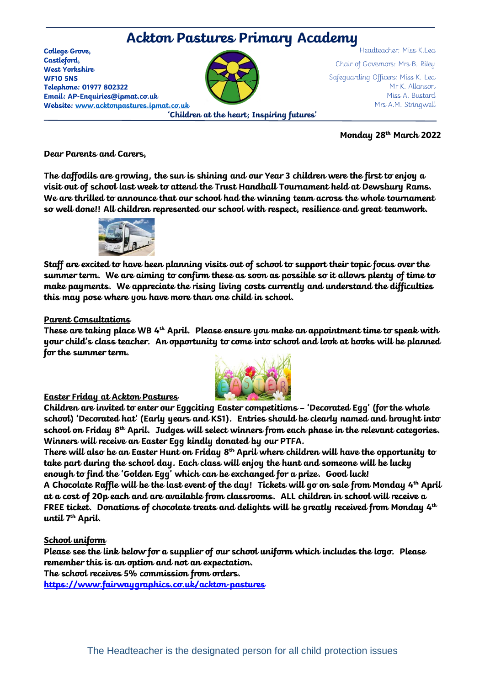

# **Monday 28th March 2022**

### **Dear Parents and Carers,**

**The daffodils are growing, the sun is shining and our Year 3 children were the first to enjoy a visit out of school last week to attend the Trust Handball Tournament held at Dewsbury Rams. We are thrilled to announce that our school had the winning team across the whole tournament so well done!! All children represented our school with respect, resilience and great teamwork.**



**Staff are excited to have been planning visits out of school to support their topic focus over the summer term. We are aiming to confirm these as soon as possible so it allows plenty of time to make payments. We appreciate the rising living costs currently and understand the difficulties this may pose where you have more than one child in school.**

#### **Parent Consultations**

**These are taking place WB 4th April. Please ensure you make an appointment time to speak with your child's class teacher. An opportunity to come into school and look at books will be planned for the summer term.**



#### **Easter Friday at Ackton Pastures**

**Children are invited to enter our Eggciting Easter competitions – 'Decorated Egg' (for the whole school) 'Decorated hat' (Early years and KS1). Entries should be clearly named and brought into school on Friday 8th April. Judges will select winners from each phase in the relevant categories. Winners will receive an Easter Egg kindly donated by our PTFA.**

**There will also be an Easter Hunt on Friday 8th April where children will have the opportunity to take part during the school day. Each class will enjoy the hunt and someone will be lucky enough to find the 'Golden Egg' which can be exchanged for a prize. Good luck! A Chocolate Raffle will be the last event of the day! Tickets will go on sale from Monday 4th April at a cost of 20p each and are available from classrooms. ALL children in school will receive a FREE ticket. Donations of chocolate treats and delights will be greatly received from Monday 4 th until 7 th April.**

**School uniform** 

**Please see the link below for a supplier of our school uniform which includes the logo. Please remember this is an option and not an expectation. The school receives 5% commission from orders. <https://www.fairwaygraphics.co.uk/ackton-pastures>**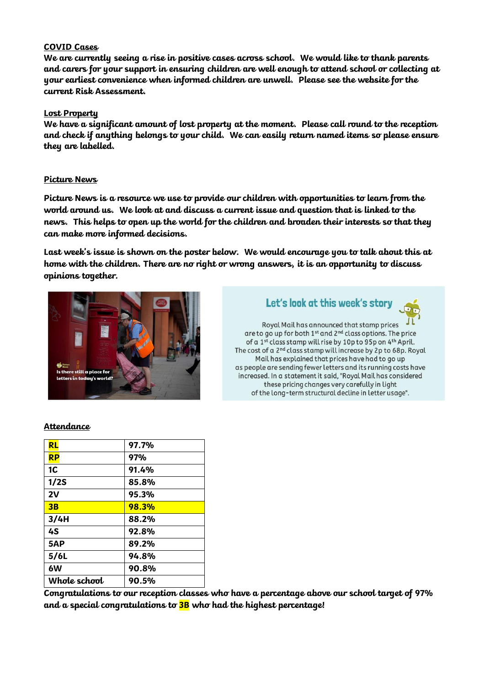# **COVID Cases**

**We are currently seeing a rise in positive cases across school. We would like to thank parents and carers for your support in ensuring children are well enough to attend school or collecting at your earliest convenience when informed children are unwell. Please see the website for the current Risk Assessment.** 

# **Lost Property**

**We have a significant amount of lost property at the moment. Please call round to the reception and check if anything belongs to your child. We can easily return named items so please ensure they are labelled.**

# **Picture News**

**Picture News is a resource we use to provide our children with opportunities to learn from the world around us. We look at and discuss a current issue and question that is linked to the news. This helps to open up the world for the children and broaden their interests so that they can make more informed decisions.** 

**Last week's issue is shown on the poster below. We would encourage you to talk about this at home with the children. There are no right or wrong answers, it is an opportunity to discuss opinions together.**



Let's look at this week's story

Royal Mail has announced that stamp prices are to go up for both 1st and 2nd class options. The price of a 1st class stamp will rise by 10p to 95p on 4th April. The cost of a 2<sup>nd</sup> class stamp will increase by 2p to 68p. Royal Mail has explained that prices have had to go up as people are sending fewer letters and its running costs have increased. In a statement it said, "Royal Mail has considered these pricing changes very carefully in light of the long-term structural decline in letter usage".

# **Attendance**

| <b>RL</b>      | 97.7%        |
|----------------|--------------|
| <b>RP</b>      | 97%          |
| 1 <sub>C</sub> | 91.4%        |
| 1/2S           | 85.8%        |
| 2V             | 95.3%        |
| 3B             | <b>98.3%</b> |
| 3/4H           | 88.2%        |
| 4S             | 92.8%        |
| 5AP            | 89.2%        |
| 5/6L           | 94.8%        |
| 6W             | 90.8%        |
| Whole school   | 90.5%        |
|                |              |

**Congratulations to our reception classes who have a percentage above our school target of 97% and a special congratulations to 3B who had the highest percentage!**